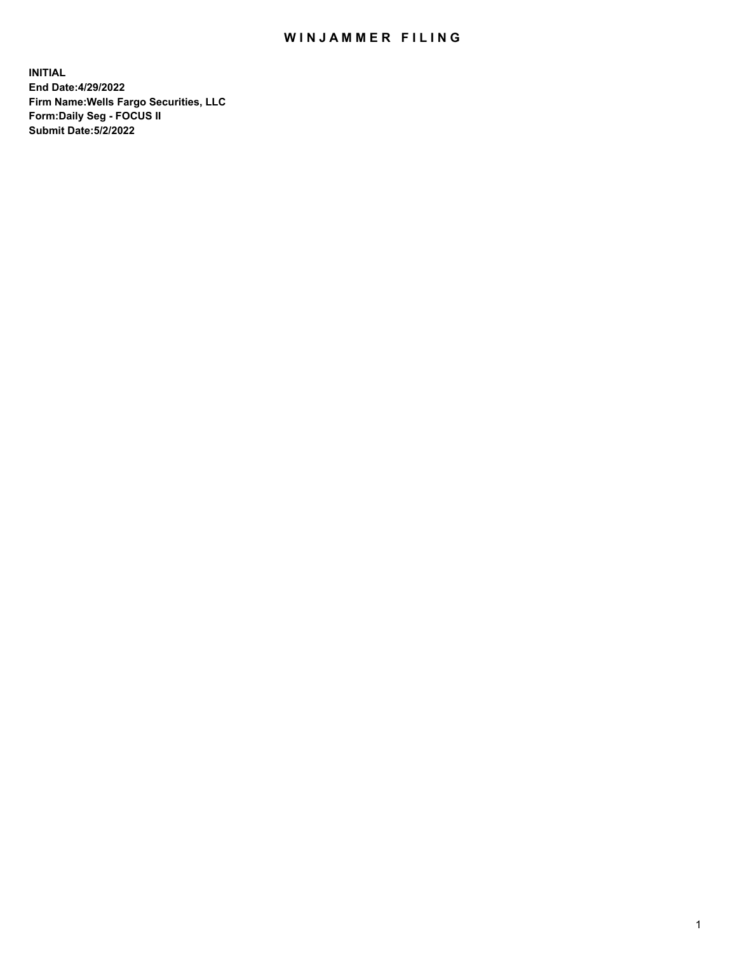## WIN JAMMER FILING

**INITIAL End Date:4/29/2022 Firm Name:Wells Fargo Securities, LLC Form:Daily Seg - FOCUS II Submit Date:5/2/2022**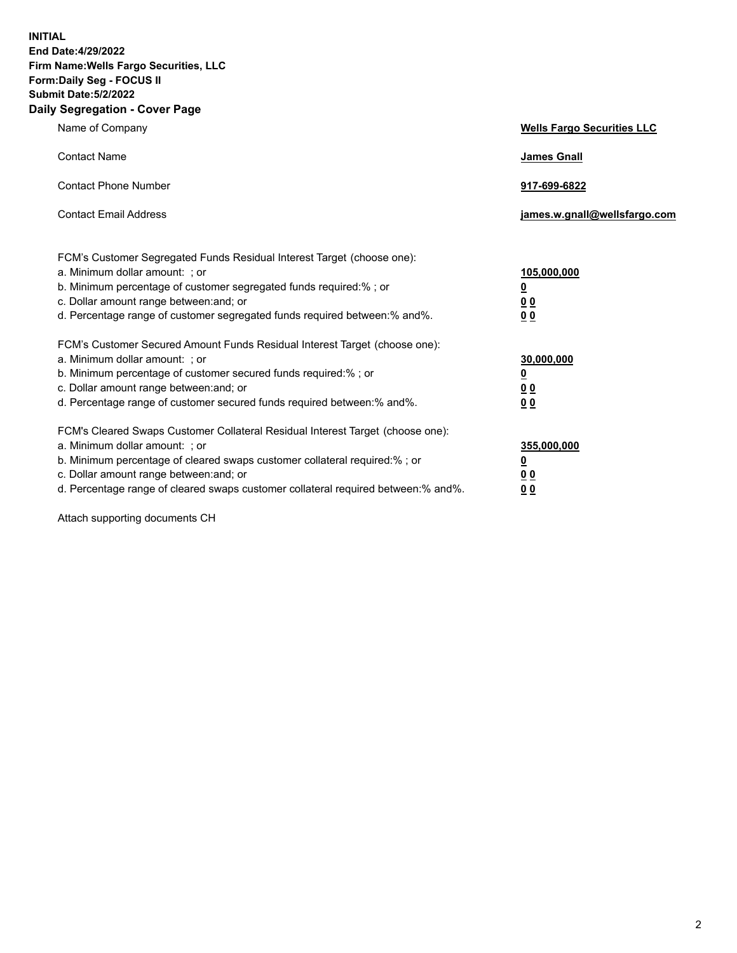**INITIAL End Date:4/29/2022 Firm Name:Wells Fargo Securities, LLC Form:Daily Seg - FOCUS II Submit Date:5/2/2022 Daily Segregation - Cover Page**

| Name of Company                                                                                                                                                                                                                                                                                                                | <b>Wells Fargo Securities LLC</b>              |
|--------------------------------------------------------------------------------------------------------------------------------------------------------------------------------------------------------------------------------------------------------------------------------------------------------------------------------|------------------------------------------------|
| <b>Contact Name</b>                                                                                                                                                                                                                                                                                                            | <b>James Gnall</b>                             |
| <b>Contact Phone Number</b>                                                                                                                                                                                                                                                                                                    | 917-699-6822                                   |
| <b>Contact Email Address</b>                                                                                                                                                                                                                                                                                                   | james.w.gnall@wellsfargo.com                   |
| FCM's Customer Segregated Funds Residual Interest Target (choose one):<br>a. Minimum dollar amount: ; or<br>b. Minimum percentage of customer segregated funds required:% ; or<br>c. Dollar amount range between: and; or<br>d. Percentage range of customer segregated funds required between:% and%.                         | 105,000,000<br><u>0</u><br><u>00</u><br>00     |
| FCM's Customer Secured Amount Funds Residual Interest Target (choose one):<br>a. Minimum dollar amount: ; or<br>b. Minimum percentage of customer secured funds required:%; or<br>c. Dollar amount range between: and; or<br>d. Percentage range of customer secured funds required between:% and%.                            | 30,000,000<br><u>0</u><br>00<br>0 <sub>0</sub> |
| FCM's Cleared Swaps Customer Collateral Residual Interest Target (choose one):<br>a. Minimum dollar amount: ; or<br>b. Minimum percentage of cleared swaps customer collateral required:% ; or<br>c. Dollar amount range between: and; or<br>d. Percentage range of cleared swaps customer collateral required between:% and%. | 355,000,000<br><u>0</u><br>0 Q<br>00           |

Attach supporting documents CH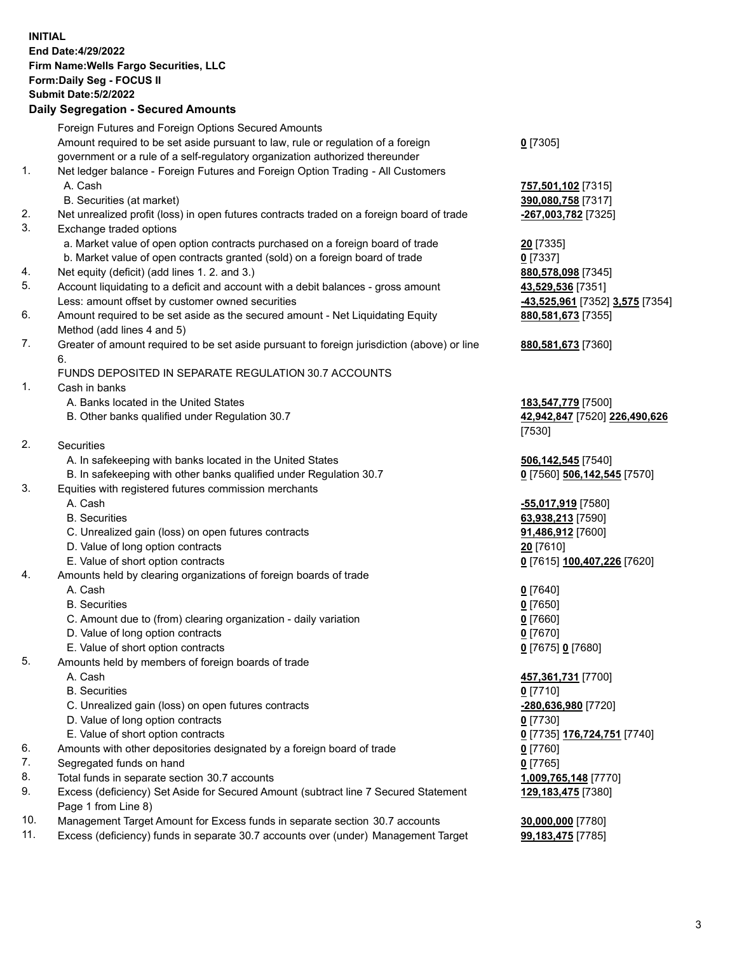**INITIAL End Date:4/29/2022 Firm Name:Wells Fargo Securities, LLC Form:Daily Seg - FOCUS II Submit Date:5/2/2022 Daily Segregation - Secured Amounts** Foreign Futures and Foreign Options Secured Amounts Amount required to be set aside pursuant to law, rule or regulation of a foreign government or a rule of a self-regulatory organization authorized thereunder **0** [7305] 1. Net ledger balance - Foreign Futures and Foreign Option Trading - All Customers A. Cash **757,501,102** [7315] B. Securities (at market) **390,080,758** [7317] 2. Net unrealized profit (loss) in open futures contracts traded on a foreign board of trade **-267,003,782** [7325] 3. Exchange traded options a. Market value of open option contracts purchased on a foreign board of trade **20** [7335] b. Market value of open contracts granted (sold) on a foreign board of trade **0** [7337] 4. Net equity (deficit) (add lines 1. 2. and 3.) **880,578,098** [7345] 5. Account liquidating to a deficit and account with a debit balances - gross amount **43,529,536** [7351] Less: amount offset by customer owned securities **-43,525,961** [7352] **3,575** [7354] 6. Amount required to be set aside as the secured amount - Net Liquidating Equity Method (add lines 4 and 5) **880,581,673** [7355] 7. Greater of amount required to be set aside pursuant to foreign jurisdiction (above) or line 6. **880,581,673** [7360] FUNDS DEPOSITED IN SEPARATE REGULATION 30.7 ACCOUNTS 1. Cash in banks A. Banks located in the United States **183,547,779** [7500] B. Other banks qualified under Regulation 30.7 **42,942,847** [7520] **226,490,626** [7530] 2. Securities A. In safekeeping with banks located in the United States **506,142,545** [7540] B. In safekeeping with other banks qualified under Regulation 30.7 **0** [7560] **506,142,545** [7570] 3. Equities with registered futures commission merchants A. Cash **-55,017,919** [7580] B. Securities **63,938,213** [7590] C. Unrealized gain (loss) on open futures contracts **91,486,912** [7600] D. Value of long option contracts **20** [7610] E. Value of short option contracts **0** [7615] **100,407,226** [7620] 4. Amounts held by clearing organizations of foreign boards of trade A. Cash **0** [7640] B. Securities **0** [7650] C. Amount due to (from) clearing organization - daily variation **0** [7660] D. Value of long option contracts **0** [7670] E. Value of short option contracts **0** [7675] **0** [7680] 5. Amounts held by members of foreign boards of trade A. Cash **457,361,731** [7700] B. Securities **0** [7710] C. Unrealized gain (loss) on open futures contracts **-280,636,980** [7720] D. Value of long option contracts **0** [7730] E. Value of short option contracts **0** [7735] **176,724,751** [7740] 6. Amounts with other depositories designated by a foreign board of trade **0** [7760] 7. Segregated funds on hand **0** [7765] 8. Total funds in separate section 30.7 accounts **1,009,765,148** [7770] 9. Excess (deficiency) Set Aside for Secured Amount (subtract line 7 Secured Statement Page 1 from Line 8) **129,183,475** [7380] 10. Management Target Amount for Excess funds in separate section 30.7 accounts **30,000,000** [7780]

11. Excess (deficiency) funds in separate 30.7 accounts over (under) Management Target **99,183,475** [7785]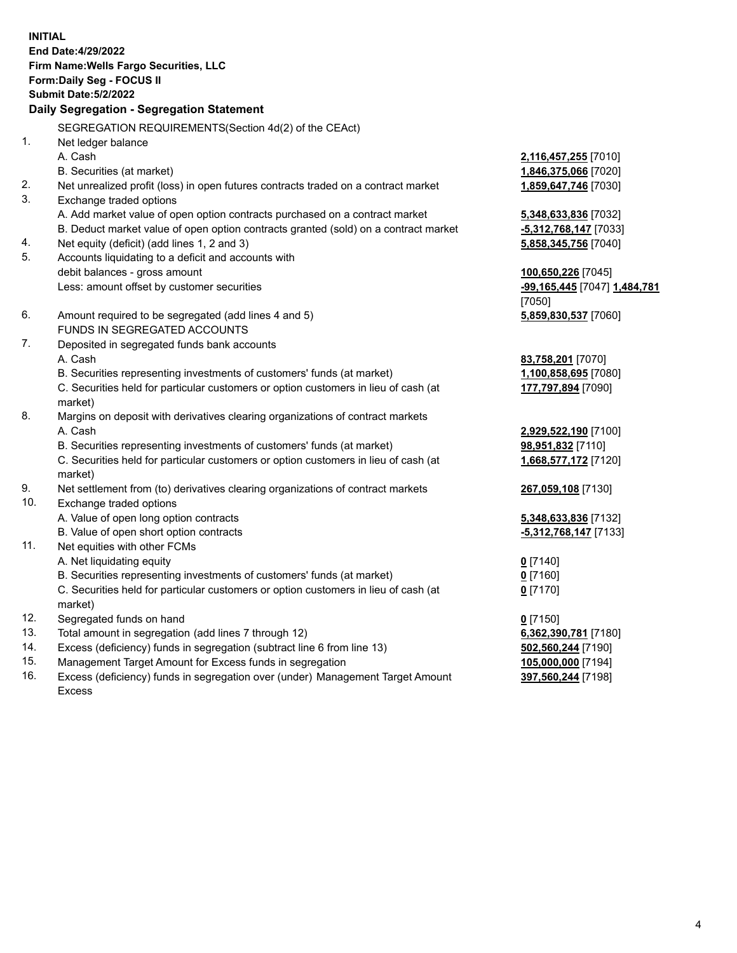**INITIAL End Date:4/29/2022 Firm Name:Wells Fargo Securities, LLC Form:Daily Seg - FOCUS II Submit Date:5/2/2022 Daily Segregation - Segregation Statement** SEGREGATION REQUIREMENTS(Section 4d(2) of the CEAct) 1. Net ledger balance A. Cash **2,116,457,255** [7010] B. Securities (at market) **1,846,375,066** [7020] 2. Net unrealized profit (loss) in open futures contracts traded on a contract market **1,859,647,746** [7030] 3. Exchange traded options A. Add market value of open option contracts purchased on a contract market **5,348,633,836** [7032] B. Deduct market value of open option contracts granted (sold) on a contract market **-5,312,768,147** [7033] 4. Net equity (deficit) (add lines 1, 2 and 3) **5,858,345,756** [7040] 5. Accounts liquidating to a deficit and accounts with debit balances - gross amount **100,650,226** [7045] Less: amount offset by customer securities **-99,165,445** [7047] **1,484,781** [7050] 6. Amount required to be segregated (add lines 4 and 5) **5,859,830,537** [7060] FUNDS IN SEGREGATED ACCOUNTS 7. Deposited in segregated funds bank accounts A. Cash **83,758,201** [7070] B. Securities representing investments of customers' funds (at market) **1,100,858,695** [7080] C. Securities held for particular customers or option customers in lieu of cash (at market) **177,797,894** [7090] 8. Margins on deposit with derivatives clearing organizations of contract markets A. Cash **2,929,522,190** [7100] B. Securities representing investments of customers' funds (at market) **98,951,832** [7110] C. Securities held for particular customers or option customers in lieu of cash (at market) **1,668,577,172** [7120] 9. Net settlement from (to) derivatives clearing organizations of contract markets **267,059,108** [7130] 10. Exchange traded options A. Value of open long option contracts **5,348,633,836** [7132] B. Value of open short option contracts **-5,312,768,147** [7133] 11. Net equities with other FCMs A. Net liquidating equity **0** [7140] B. Securities representing investments of customers' funds (at market) **0** [7160] C. Securities held for particular customers or option customers in lieu of cash (at market) **0** [7170] 12. Segregated funds on hand **0** [7150] 13. Total amount in segregation (add lines 7 through 12) **6,362,390,781** [7180] 14. Excess (deficiency) funds in segregation (subtract line 6 from line 13) **502,560,244** [7190] 15. Management Target Amount for Excess funds in segregation **105,000,000** [7194] 16. Excess (deficiency) funds in segregation over (under) Management Target Amount **397,560,244** [7198]

Excess